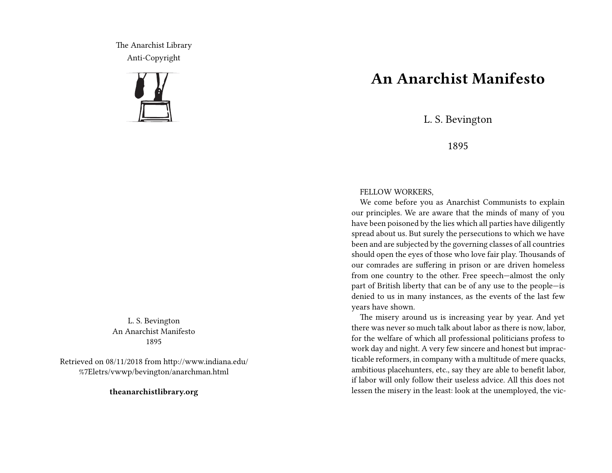The Anarchist Library Anti-Copyright



L. S. Bevington An Anarchist Manifesto 1895

Retrieved on 08/11/2018 from http://www.indiana.edu/ %7Eletrs/vwwp/bevington/anarchman.html

**theanarchistlibrary.org**

## **An Anarchist Manifesto**

L. S. Bevington

1895

## FELLOW WORKERS,

We come before you as Anarchist Communists to explain our principles. We are aware that the minds of many of you have been poisoned by the lies which all parties have diligently spread about us. But surely the persecutions to which we have been and are subjected by the governing classes of all countries should open the eyes of those who love fair play. Thousands of our comrades are suffering in prison or are driven homeless from one country to the other. Free speech—almost the only part of British liberty that can be of any use to the people—is denied to us in many instances, as the events of the last few years have shown.

The misery around us is increasing year by year. And yet there was never so much talk about labor as there is now, labor, for the welfare of which all professional politicians profess to work day and night. A very few sincere and honest but impracticable reformers, in company with a multitude of mere quacks, ambitious placehunters, etc., say they are able to benefit labor, if labor will only follow their useless advice. All this does not lessen the misery in the least: look at the unemployed, the vic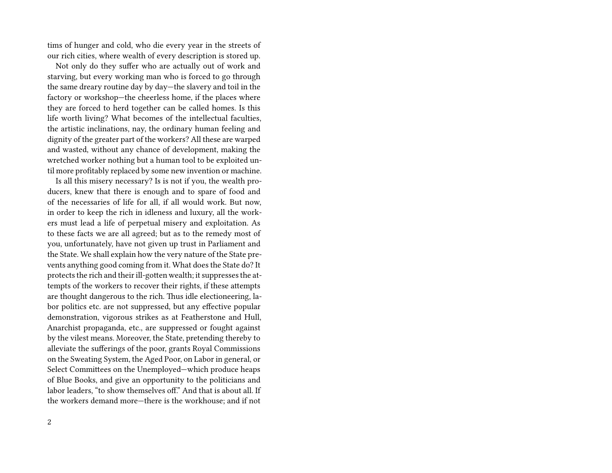tims of hunger and cold, who die every year in the streets of our rich cities, where wealth of every description is stored up.

Not only do they suffer who are actually out of work and starving, but every working man who is forced to go through the same dreary routine day by day—the slavery and toil in the factory or workshop—the cheerless home, if the places where they are forced to herd together can be called homes. Is this life worth living? What becomes of the intellectual faculties, the artistic inclinations, nay, the ordinary human feeling and dignity of the greater part of the workers? All these are warped and wasted, without any chance of development, making the wretched worker nothing but a human tool to be exploited until more profitably replaced by some new invention or machine.

Is all this misery necessary? Is is not if you, the wealth producers, knew that there is enough and to spare of food and of the necessaries of life for all, if all would work. But now, in order to keep the rich in idleness and luxury, all the workers must lead a life of perpetual misery and exploitation. As to these facts we are all agreed; but as to the remedy most of you, unfortunately, have not given up trust in Parliament and the State. We shall explain how the very nature of the State prevents anything good coming from it. What does the State do? It protects the rich and their ill‐gotten wealth; it suppresses the attempts of the workers to recover their rights, if these attempts are thought dangerous to the rich. Thus idle electioneering, labor politics etc. are not suppressed, but any effective popular demonstration, vigorous strikes as at Featherstone and Hull, Anarchist propaganda, etc., are suppressed or fought against by the vilest means. Moreover, the State, pretending thereby to alleviate the sufferings of the poor, grants Royal Commissions on the Sweating System, the Aged Poor, on Labor in general, or Select Committees on the Unemployed—which produce heaps of Blue Books, and give an opportunity to the politicians and labor leaders, "to show themselves off." And that is about all. If the workers demand more—there is the workhouse; and if not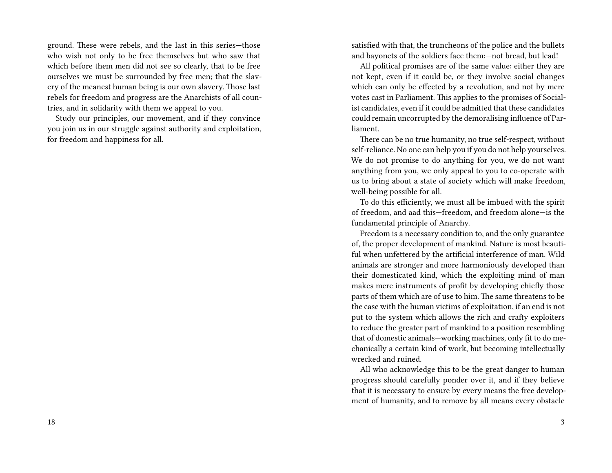ground. These were rebels, and the last in this series—those who wish not only to be free themselves but who saw that which before them men did not see so clearly, that to be free ourselves we must be surrounded by free men; that the slavery of the meanest human being is our own slavery. Those last rebels for freedom and progress are the Anarchists of all countries, and in solidarity with them we appeal to you.

Study our principles, our movement, and if they convince you join us in our struggle against authority and exploitation, for freedom and happiness for all.

satisfied with that, the truncheons of the police and the bullets and bayonets of the soldiers face them:—not bread, but lead!

All political promises are of the same value: either they are not kept, even if it could be, or they involve social changes which can only be effected by a revolution, and not by mere votes cast in Parliament. This applies to the promises of Socialist candidates, even if it could be admitted that these candidates could remain uncorrupted by the demoralising influence of Parliament.

There can be no true humanity, no true self‐respect, without self-reliance. No one can help you if you do not help yourselves. We do not promise to do anything for you, we do not want anything from you, we only appeal to you to co‐operate with us to bring about a state of society which will make freedom, well-being possible for all.

To do this efficiently, we must all be imbued with the spirit of freedom, and aad this—freedom, and freedom alone—is the fundamental principle of Anarchy.

Freedom is a necessary condition to, and the only guarantee of, the proper development of mankind. Nature is most beautiful when unfettered by the artificial interference of man. Wild animals are stronger and more harmoniously developed than their domesticated kind, which the exploiting mind of man makes mere instruments of profit by developing chiefly those parts of them which are of use to him. The same threatens to be the case with the human victims of exploitation, if an end is not put to the system which allows the rich and crafty exploiters to reduce the greater part of mankind to a position resembling that of domestic animals—working machines, only fit to do mechanically a certain kind of work, but becoming intellectually wrecked and ruined.

All who acknowledge this to be the great danger to human progress should carefully ponder over it, and if they believe that it is necessary to ensure by every means the free development of humanity, and to remove by all means every obstacle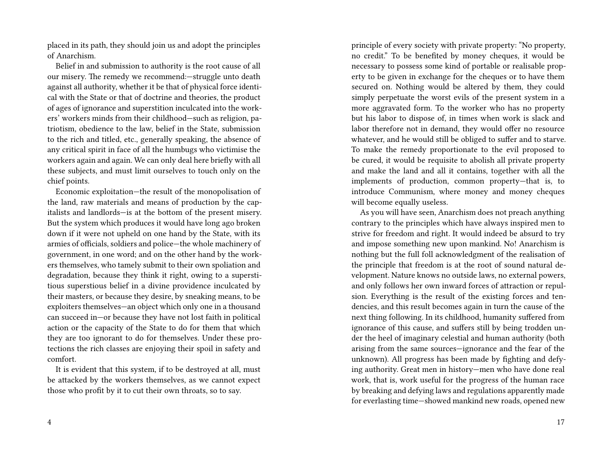placed in its path, they should join us and adopt the principles of Anarchism.

Belief in and submission to authority is the root cause of all our misery. The remedy we recommend:—struggle unto death against all authority, whether it be that of physical force identical with the State or that of doctrine and theories, the product of ages of ignorance and superstition inculcated into the workers' workers minds from their childhood—such as religion, patriotism, obedience to the law, belief in the State, submission to the rich and titled, etc., generally speaking, the absence of any critical spirit in face of all the humbugs who victimise the workers again and again. We can only deal here briefly with all these subjects, and must limit ourselves to touch only on the chief points.

Economic exploitation—the result of the monopolisation of the land, raw materials and means of production by the capitalists and landlords—is at the bottom of the present misery. But the system which produces it would have long ago broken down if it were not upheld on one hand by the State, with its armies of officials, soldiers and police—the whole machinery of government, in one word; and on the other hand by the workers themselves, who tamely submit to their own spoliation and degradation, because they think it right, owing to a superstitious superstious belief in a divine providence inculcated by their masters, or because they desire, by sneaking means, to be exploiters themselves—an object which only one in a thousand can succeed in—or because they have not lost faith in political action or the capacity of the State to do for them that which they are too ignorant to do for themselves. Under these protections the rich classes are enjoying their spoil in safety and comfort.

It is evident that this system, if to be destroyed at all, must be attacked by the workers themselves, as we cannot expect those who profit by it to cut their own throats, so to say.

principle of every society with private property: "No property, no credit." To be benefited by money cheques, it would be necessary to possess some kind of portable or realisable property to be given in exchange for the cheques or to have them secured on. Nothing would be altered by them, they could simply perpetuate the worst evils of the present system in a more aggravated form. To the worker who has no property but his labor to dispose of, in times when work is slack and labor therefore not in demand, they would offer no resource whatever, and he would still be obliged to suffer and to starve. To make the remedy proportionate to the evil proposed to be cured, it would be requisite to abolish all private property and make the land and all it contains, together with all the implements of production, common property—that is, to introduce Communism, where money and money cheques will become equally useless.

As you will have seen, Anarchism does not preach anything contrary to the principles which have always inspired men to strive for freedom and right. It would indeed be absurd to try and impose something new upon mankind. No! Anarchism is nothing but the full foll acknowledgment of the realisation of the principle that freedom is at the root of sound natural development. Nature knows no outside laws, no external powers, and only follows her own inward forces of attraction or repulsion. Everything is the result of the existing forces and tendencies, and this result becomes again in turn the cause of the next thing following. In its childhood, humanity suffered from ignorance of this cause, and suffers still by being trodden under the heel of imaginary celestial and human authority (both arising from the same sources—ignorance and the fear of the unknown). All progress has been made by fighting and defying authority. Great men in history—men who have done real work, that is, work useful for the progress of the human race by breaking and defying laws and regulations apparently made for everlasting time—showed mankind new roads, opened new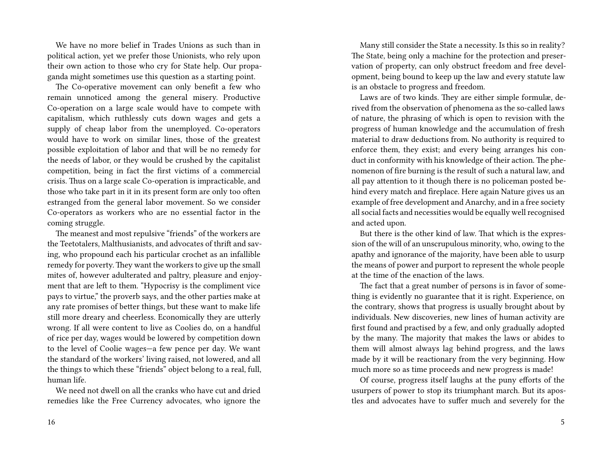We have no more belief in Trades Unions as such than in political action, yet we prefer those Unionists, who rely upon their own action to those who cry for State help. Our propaganda might sometimes use this question as a starting point.

The Co-operative movement can only benefit a few who remain unnoticed among the general misery. Productive Co-operation on a large scale would have to compete with capitalism, which ruthlessly cuts down wages and gets a supply of cheap labor from the unemployed. Co-operators would have to work on similar lines, those of the greatest possible exploitation of labor and that will be no remedy for the needs of labor, or they would be crushed by the capitalist competition, being in fact the first victims of a commercial crisis. Thus on a large scale Co‐operation is impracticable, and those who take part in it in its present form are only too often estranged from the general labor movement. So we consider Co‐operators as workers who are no essential factor in the coming struggle.

The meanest and most repulsive "friends" of the workers are the Teetotalers, Malthusianists, and advocates of thrift and saving, who propound each his particular crochet as an infallible remedy for poverty. They want the workers to give up the small mites of, however adulterated and paltry, pleasure and enjoyment that are left to them. "Hypocrisy is the compliment vice pays to virtue," the proverb says, and the other parties make at any rate promises of better things, but these want to make life still more dreary and cheerless. Economically they are utterly wrong. If all were content to live as Coolies do, on a handful of rice per day, wages would be lowered by competition down to the level of Coolie wages—a few pence per day. We want the standard of the workers' living raised, not lowered, and all the things to which these "friends" object belong to a real, full, human life.

We need not dwell on all the cranks who have cut and dried remedies like the Free Currency advocates, who ignore the

Many still consider the State a necessity. Is this so in reality? The State, being only a machine for the protection and preservation of property, can only obstruct freedom and free development, being bound to keep up the law and every statute law is an obstacle to progress and freedom.

Laws are of two kinds. They are either simple formulæ, derived from the observation of phenomena as the so-called laws of nature, the phrasing of which is open to revision with the progress of human knowledge and the accumulation of fresh material to draw deductions from. No authority is required to enforce them, they exist; and every being arranges his conduct in conformity with his knowledge of their action. The phenomenon of fire burning is the result of such a natural law, and all pay attention to it though there is no policeman posted behind every match and fireplace. Here again Nature gives us an example of free development and Anarchy, and in a free society all social facts and necessities would be equally well recognised and acted upon.

But there is the other kind of law. That which is the expression of the will of an unscrupulous minority, who, owing to the apathy and ignorance of the majority, have been able to usurp the means of power and purport to represent the whole people at the time of the enaction of the laws.

The fact that a great number of persons is in favor of something is evidently no guarantee that it is right. Experience, on the contrary, shows that progress is usually brought about by individuals. New discoveries, new lines of human activity are first found and practised by a few, and only gradually adopted by the many. The majority that makes the laws or abides to them will almost always lag behind progress, and the laws made by it will be reactionary from the very beginning. How much more so as time proceeds and new progress is made!

Of course, progress itself laughs at the puny efforts of the usurpers of power to stop its triumphant march. But its apostles and advocates have to suffer much and severely for the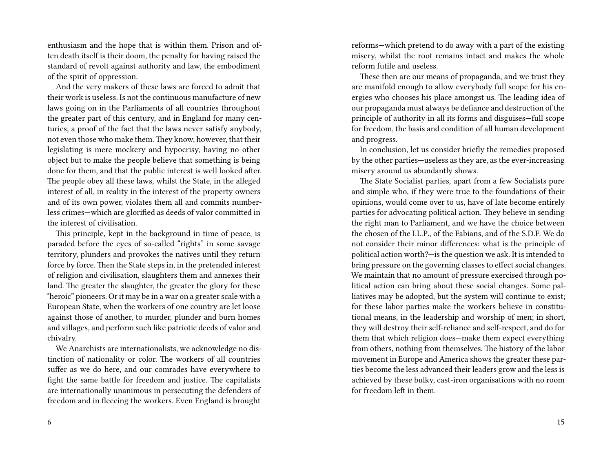enthusiasm and the hope that is within them. Prison and often death itself is their doom, the penalty for having raised the standard of revolt against authority and law, the embodiment of the spirit of oppression.

And the very makers of these laws are forced to admit that their work is useless. Is not the continuous manufacture of new laws going on in the Parliaments of all countries throughout the greater part of this century, and in England for many centuries, a proof of the fact that the laws never satisfy anybody, not even those who make them. They know, however, that their legislating is mere mockery and hypocrisy, having no other object but to make the people believe that something is being done for them, and that the public interest is well looked after. The people obey all these laws, whilst the State, in the alleged interest of all, in reality in the interest of the property owners and of its own power, violates them all and commits numberless crimes—which are glorified as deeds of valor committed in the interest of civilisation.

This principle, kept in the background in time of peace, is paraded before the eyes of so-called "rights" in some savage territory, plunders and provokes the natives until they return force by force. Then the State steps in, in the pretended interest of religion and civilisation, slaughters them and annexes their land. The greater the slaughter, the greater the glory for these "heroic" pioneers. Or it may be in a war on a greater scale with a European State, when the workers of one country are let loose against those of another, to murder, plunder and burn homes and villages, and perform such like patriotic deeds of valor and chivalry.

We Anarchists are internationalists, we acknowledge no distinction of nationality or color. The workers of all countries suffer as we do here, and our comrades have everywhere to fight the same battle for freedom and justice. The capitalists are internationally unanimous in persecuting the defenders of freedom and in fleecing the workers. Even England is brought

6

reforms—which pretend to do away with a part of the existing misery, whilst the root remains intact and makes the whole reform futile and useless.

These then are our means of propaganda, and we trust they are manifold enough to allow everybody full scope for his energies who chooses his place amongst us. The leading idea of our propaganda must always be defiance and destruction of the principle of authority in all its forms and disguises—full scope for freedom, the basis and condition of all human development and progress.

In conclusion, let us consider briefly the remedies proposed by the other parties—useless as they are, as the ever‐increasing misery around us abundantly shows.

The State Socialist parties, apart from a few Socialists pure and simple who, if they were true to the foundations of their opinions, would come over to us, have of late become entirely parties for advocating political action. They believe in sending the right man to Parliament, and we have the choice between the chosen of the I.L.P., of the Fabians, and of the S.D.F. We do not consider their minor differences: what is the principle of political action worth?—is the question we ask. It is intended to bring pressure on the governing classes to effect social changes. We maintain that no amount of pressure exercised through political action can bring about these social changes. Some palliatives may be adopted, but the system will continue to exist; for these labor parties make the workers believe in constitutional means, in the leadership and worship of men; in short, they will destroy their self‐reliance and self‐respect, and do for them that which religion does—make them expect everything from others, nothing from themselves. The history of the labor movement in Europe and America shows the greater these parties become the less advanced their leaders grow and the less is achieved by these bulky, cast‐iron organisations with no room for freedom left in them.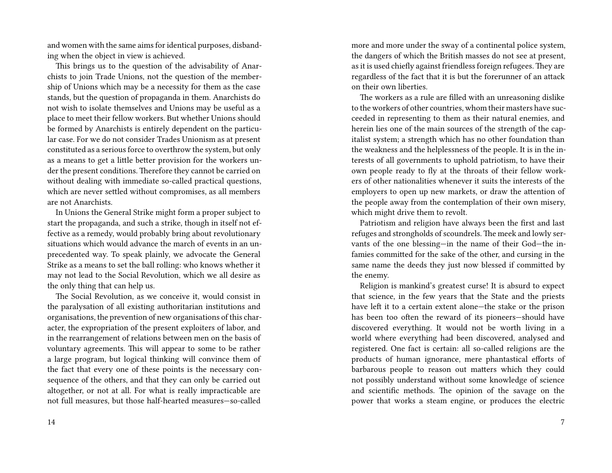and women with the same aims for identical purposes, disbanding when the object in view is achieved.

This brings us to the question of the advisability of Anarchists to join Trade Unions, not the question of the membership of Unions which may be a necessity for them as the case stands, but the question of propaganda in them. Anarchists do not wish to isolate themselves and Unions may be useful as a place to meet their fellow workers. But whether Unions should be formed by Anarchists is entirely dependent on the particular case. For we do not consider Trades Unionism as at present constituted as a serious force to overthrow the system, but only as a means to get a little better provision for the workers under the present conditions. Therefore they cannot be carried on without dealing with immediate so-called practical questions, which are never settled without compromises, as all members are not Anarchists.

In Unions the General Strike might form a proper subject to start the propaganda, and such a strike, though in itself not effective as a remedy, would probably bring about revolutionary situations which would advance the march of events in an unprecedented way. To speak plainly, we advocate the General Strike as a means to set the ball rolling: who knows whether it may not lead to the Social Revolution, which we all desire as the only thing that can help us.

The Social Revolution, as we conceive it, would consist in the paralysation of all existing authoritarian institutions and organisations, the prevention of new organisations of this character, the expropriation of the present exploiters of labor, and in the rearrangement of relations between men on the basis of voluntary agreements. This will appear to some to be rather a large program, but logical thinking will convince them of the fact that every one of these points is the necessary consequence of the others, and that they can only be carried out altogether, or not at all. For what is really impracticable are not full measures, but those half‐hearted measures—so‐called

14

more and more under the sway of a continental police system, the dangers of which the British masses do not see at present, as it is used chiefly against friendless foreign refugees. They are regardless of the fact that it is but the forerunner of an attack on their own liberties.

The workers as a rule are filled with an unreasoning dislike to the workers of other countries, whom their masters have succeeded in representing to them as their natural enemies, and herein lies one of the main sources of the strength of the capitalist system; a strength which has no other foundation than the weakness and the helplessness of the people. It is in the interests of all governments to uphold patriotism, to have their own people ready to fly at the throats of their fellow workers of other nationalities whenever it suits the interests of the employers to open up new markets, or draw the attention of the people away from the contemplation of their own misery, which might drive them to revolt.

Patriotism and religion have always been the first and last refuges and strongholds of scoundrels. The meek and lowly servants of the one blessing—in the name of their God—the infamies committed for the sake of the other, and cursing in the same name the deeds they just now blessed if committed by the enemy.

Religion is mankind's greatest curse! It is absurd to expect that science, in the few years that the State and the priests have left it to a certain extent alone—the stake or the prison has been too often the reward of its pioneers—should have discovered everything. It would not be worth living in a world where everything had been discovered, analysed and registered. One fact is certain: all so-called religions are the products of human ignorance, mere phantastical efforts of barbarous people to reason out matters which they could not possibly understand without some knowledge of science and scientific methods. The opinion of the savage on the power that works a steam engine, or produces the electric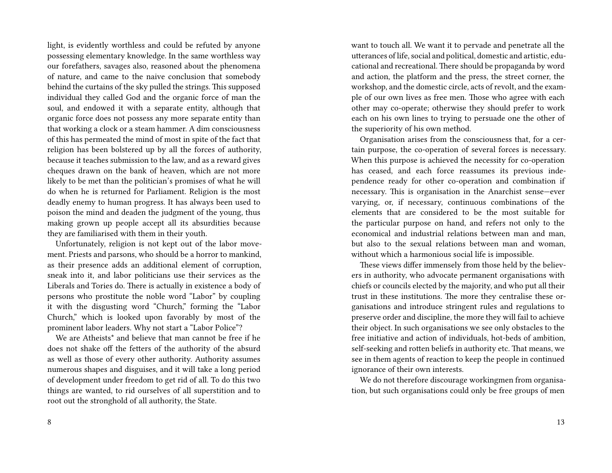light, is evidently worthless and could be refuted by anyone possessing elementary knowledge. In the same worthless way our forefathers, savages also, reasoned about the phenomena of nature, and came to the naive conclusion that somebody behind the curtains of the sky pulled the strings. This supposed individual they called God and the organic force of man the soul, and endowed it with a separate entity, although that organic force does not possess any more separate entity than that working a clock or a steam hammer. A dim consciousness of this has permeated the mind of most in spite of the fact that religion has been bolstered up by all the forces of authority, because it teaches submission to the law, and as a reward gives cheques drawn on the bank of heaven, which are not more likely to be met than the politician's promises of what he will do when he is returned for Parliament. Religion is the most deadly enemy to human progress. It has always been used to poison the mind and deaden the judgment of the young, thus making grown up people accept all its absurdities because they are familiarised with them in their youth.

Unfortunately, religion is not kept out of the labor movement. Priests and parsons, who should be a horror to mankind, as their presence adds an additional element of corruption, sneak into it, and labor politicians use their services as the Liberals and Tories do. There is actually in existence a body of persons who prostitute the noble word "Labor" by coupling it with the disgusting word "Church," forming the "Labor Church," which is looked upon favorably by most of the prominent labor leaders. Why not start a "Labor Police"?

We are Atheists\* and believe that man cannot be free if he does not shake off the fetters of the authority of the absurd as well as those of every other authority. Authority assumes numerous shapes and disguises, and it will take a long period of development under freedom to get rid of all. To do this two things are wanted, to rid ourselves of all superstition and to root out the stronghold of all authority, the State.

want to touch all. We want it to pervade and penetrate all the utterances of life, social and political, domestic and artistic, educational and recreational. There should be propaganda by word and action, the platform and the press, the street corner, the workshop, and the domestic circle, acts of revolt, and the example of our own lives as free men. Those who agree with each other may co‐operate; otherwise they should prefer to work each on his own lines to trying to persuade one the other of the superiority of his own method.

Organisation arises from the consciousness that, for a certain purpose, the co-operation of several forces is necessary. When this purpose is achieved the necessity for co-operation has ceased, and each force reassumes its previous independence ready for other co-operation and combination if necessary. This is organisation in the Anarchist sense—ever varying, or, if necessary, continuous combinations of the elements that are considered to be the most suitable for the particular purpose on hand, and refers not only to the economical and industrial relations between man and man, but also to the sexual relations between man and woman, without which a harmonious social life is impossible.

These views differ immensely from those held by the believers in authority, who advocate permanent organisations with chiefs or councils elected by the majority, and who put all their trust in these institutions. The more they centralise these organisations and introduce stringent rules and regulations to preserve order and discipline, the more they will fail to achieve their object. In such organisations we see only obstacles to the free initiative and action of individuals, hot-beds of ambition, self-seeking and rotten beliefs in authority etc. That means, we see in them agents of reaction to keep the people in continued ignorance of their own interests.

We do not therefore discourage workingmen from organisation, but such organisations could only be free groups of men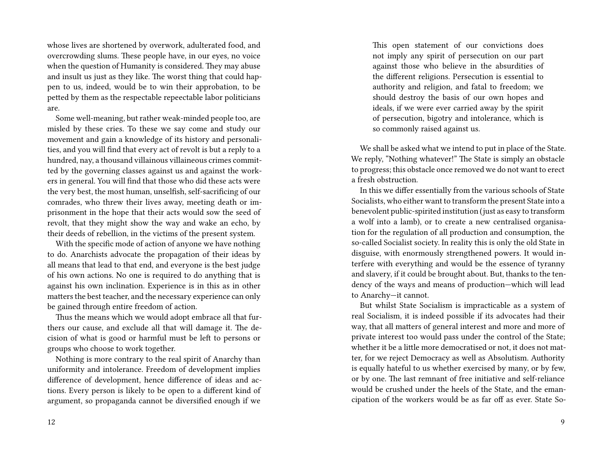whose lives are shortened by overwork, adulterated food, and overcrowding slums. These people have, in our eyes, no voice when the question of Humanity is considered. They may abuse and insult us just as they like. The worst thing that could happen to us, indeed, would be to win their approbation, to be petted by them as the respectable repeectable labor politicians are.

Some well-meaning, but rather weak-minded people too, are misled by these cries. To these we say come and study our movement and gain a knowledge of its history and personalities, and you will find that every act of revolt is but a reply to a hundred, nay, a thousand villainous villaineous crimes committed by the governing classes against us and against the workers in general. You will find that those who did these acts were the very best, the most human, unselfish, self‐sacrificing of our comrades, who threw their lives away, meeting death or imprisonment in the hope that their acts would sow the seed of revolt, that they might show the way and wake an echo, by their deeds of rebellion, in the victims of the present system.

With the specific mode of action of anyone we have nothing to do. Anarchists advocate the propagation of their ideas by all means that lead to that end, and everyone is the best judge of his own actions. No one is required to do anything that is against his own inclination. Experience is in this as in other matters the best teacher, and the necessary experience can only be gained through entire freedom of action.

Thus the means which we would adopt embrace all that furthers our cause, and exclude all that will damage it. The decision of what is good or harmful must be left to persons or groups who choose to work together.

Nothing is more contrary to the real spirit of Anarchy than uniformity and intolerance. Freedom of development implies difference of development, hence difference of ideas and actions. Every person is likely to be open to a different kind of argument, so propaganda cannot be diversified enough if we

This open statement of our convictions does not imply any spirit of persecution on our part against those who believe in the absurdities of the different religions. Persecution is essential to authority and religion, and fatal to freedom; we should destroy the basis of our own hopes and ideals, if we were ever carried away by the spirit of persecution, bigotry and intolerance, which is so commonly raised against us.

We shall be asked what we intend to put in place of the State. We reply, "Nothing whatever!" The State is simply an obstacle to progress; this obstacle once removed we do not want to erect a fresh obstruction.

In this we differ essentially from the various schools of State Socialists, who either want to transform the present State into a benevolent public‐spirited institution (just as easy to transform a wolf into a lamb), or to create a new centralised organisation for the regulation of all production and consumption, the so-called Socialist society. In reality this is only the old State in disguise, with enormously strengthened powers. It would interfere with everything and would be the essence of tyranny and slavery, if it could be brought about. But, thanks to the tendency of the ways and means of production—which will lead to Anarchy—it cannot.

But whilst State Socialism is impracticable as a system of real Socialism, it is indeed possible if its advocates had their way, that all matters of general interest and more and more of private interest too would pass under the control of the State; whether it be a little more democratised or not, it does not matter, for we reject Democracy as well as Absolutism. Authority is equally hateful to us whether exercised by many, or by few, or by one. The last remnant of free initiative and self‐reliance would be crushed under the heels of the State, and the emancipation of the workers would be as far off as ever. State So